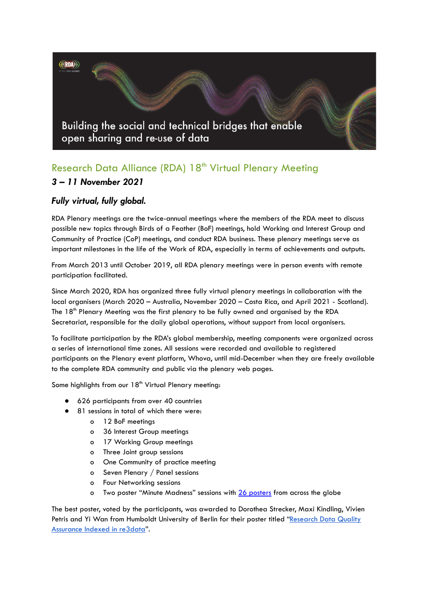**ERDA** 

Building the social and technical bridges that enable open sharing and re-use of data

# Research Data Alliance (RDA) 18<sup>th</sup> Virtual Plenary Meeting *3 – 11 November 2021*

# *Fully virtual, fully global.*

RDA Plenary meetings are the twice-annual meetings where the members of the RDA meet to discuss possible new topics through Birds of a Feather (BoF) meetings, hold Working and Interest Group and Community of Practice (CoP) meetings, and conduct RDA business. These plenary meetings serve as important milestones in the life of the Work of RDA, especially in terms of achievements and outputs.

From March 2013 until October 2019, all RDA plenary meetings were in person events with remote participation facilitated.

Since March 2020, RDA has organized three fully virtual plenary meetings in collaboration with the local organisers (March 2020 – Australia, November 2020 – Costa Rica, and April 2021 - Scotland). The 18<sup>th</sup> Plenary Meeting was the first plenary to be fully owned and organised by the RDA Secretariat, responsible for the daily global operations, without support from local organisers.

To facilitate participation by the RDA's global membership, meeting components were organized across a series of international time zones. All sessions were recorded and available to registered participants on the Plenary event platform, Whova, until mid-December when they are freely available to the complete RDA community and public via the plenary web pages.

Some highlights from our  $18<sup>th</sup>$  Virtual Plenary meeting:

- 626 participants from over 40 countries
- 81 sessions in total of which there were:
	- o 12 BoF meetings
	- o 36 Interest Group meetings
	- o 17 Working Group meetings
	- o Three Joint group sessions
	- o One Community of practice meeting
	- o Seven Plenary / Panel sessions
	- o Four Networking sessions
	- o Two poster "Minute Madness" sessions with 26 [posters](https://www.rd-alliance.org/rdas-18th-plenary-poster-exhibition) from across the globe

The best poster, voted by the participants, was awarded to Dorothea Strecker, Maxi Kindling, Vivien Petris and Yi Wan from Humboldt University of Berlin for their poster titled ["Research](https://drive.google.com/file/d/1j8uQX_3Nghcy1KASIaxLtdeFbPyf0xRJ/preview) Data Quality [Assurance](https://drive.google.com/file/d/1j8uQX_3Nghcy1KASIaxLtdeFbPyf0xRJ/preview) Indexed in re3data".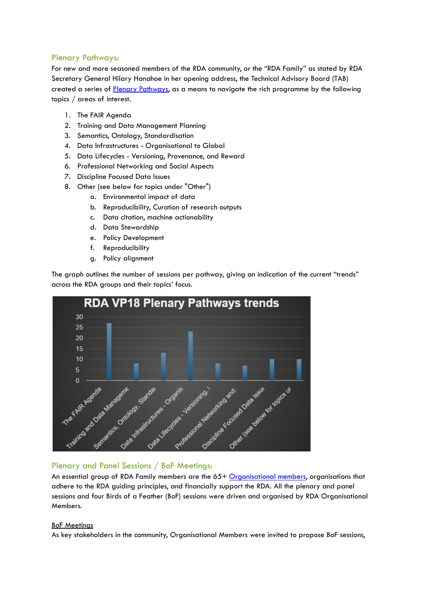## Plenary Pathways:

For new and more seasoned members of the RDA community, or the "RDA Family" as stated by RDA Secretary General Hilary Hanahoe in her opening address, the Technical Advisory Board (TAB) created a series of Plenary [Pathways,](https://www.rd-alliance.org/rdas-18th-plenary-pathways) as a means to navigate the rich programme by the following topics / areas of interest.

- 1. The FAIR Agenda
- 2. Training and Data Management Planning
- 3. Semantics, Ontology, Standardisation
- 4. Data Infrastructures Organisational to Global
- 5. Data Lifecycles Versioning, Provenance, and Reward
- 6. Professional Networking and Social Aspects
- 7. Discipline Focused Data Issues
- 8. Other (see below for topics under "Other")
	- a. Environmental impact of data
	- b. Reproducibility, Curation of research outputs
	- c. Data citation, machine actionability
	- d. Data Stewardship
	- e. Policy Development
	- f. Reproducibility
	- g. Policy alignment

The graph outlines the number of sessions per pathway, giving an indication of the current "trends" across the RDA groups and their topics' focus.



#### Plenary and Panel Sessions / BoF Meetings:

An essential group of RDA Family members are the 65+ [Organisational](https://www.rd-alliance.org/oa-members) members, organisations that adhere to the RDA guiding principles, and financially support the RDA. All the plenary and panel sessions and four Birds of a Feather (BoF) sessions were driven and organised by RDA Organisational Members.

#### BoF Meetings

As key stakeholders in the community, Organisational Members were invited to propose BoF sessions,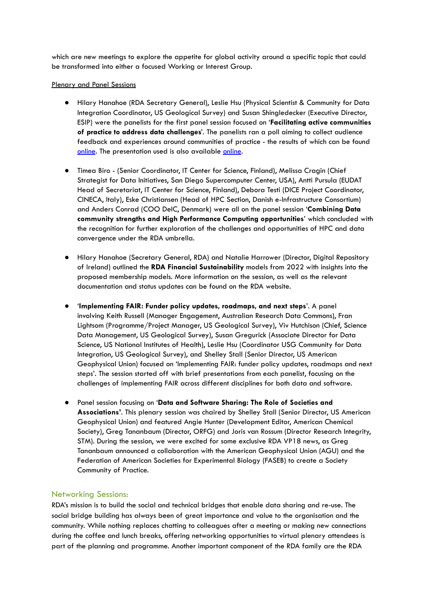which are new meetings to explore the appetite for global activity around a specific topic that could be transformed into either a focused Working or Interest Group.

#### Plenary and Panel Sessions

- Hilary Hanahoe (RDA Secretary General), Leslie Hsu (Physical Scientist & Community for Data Integration Coordinator, US Geological Survey) and Susan Shingledecker (Executive Director, ESIP) were the panelists for the first panel session focused on '**Facilitating active communities of practice to address data challenges**'. The panelists ran a poll aiming to collect audience feedback and experiences around communities of practice - the results of which can be found [online](https://drive.google.com/file/d/1MzDIOSp5HSlvIljTHf705lJDcEYnKYxg/view?usp=sharing). The presentation used is also available [online.](https://drive.google.com/file/d/1qGdCh5C8i6WFsiFe69qd4QeXa-Vl9fqD/view?usp=sharing)
- Timea Biro (Senior Coordinator, IT Center for Science, Finland), Melissa Cragin (Chief Strategist for Data Initiatives, San Diego Supercomputer Center, USA), Antti Pursula (EUDAT Head of Secretariat, IT Center for Science, Finland), Debora Testi (DICE Project Coordinator, CINECA, Italy), Eske Christiansen (Head of HPC Section, Danish e-Infrastructure Consortium) and Anders Conrad (COO DeIC, Denmark) were all on the panel session '**Combining Data community strengths and High Performance Computing opportunities**' which concluded with the recognition for further exploration of the challenges and opportunities of HPC and data convergence under the RDA umbrella.
- Hilary Hanahoe (Secretary General, RDA) and Natalie Harrower (Director, Digital Repository of Ireland) outlined the **RDA Financial Sustainability** models from 2022 with insights into the proposed membership models. More information on the session, as well as the relevant documentation and status updates can be found on the RDA [website](https://www.rd-alliance.org/about-rda/rda-financial-sustainability).
- '**Implementing FAIR: Funder policy updates, roadmaps, and next steps**'. A panel involving Keith Russell (Manager Engagement, Australian Research Data Commons), Fran Lightsom (Programme/Project Manager, US Geological Survey), Viv Hutchison (Chief, Science Data Management, US Geological Survey), Susan Gregurick (Associate Director for Data Science, US National Institutes of Health), Leslie Hsu (Coordinator USG Community for Data Integration, US Geological Survey), and Shelley Stall (Senior Director, US American Geophysical Union) focused on 'Implementing FAIR: funder policy updates, roadmaps and next steps'. The session started off with brief presentations from each panelist, focusing on the challenges of implementing FAIR across different disciplines for both data and software.
- Panel session focusing on '**Data and Software Sharing: The Role of Societies and Associations'**. This plenary session was chaired by Shelley Stall (Senior Director, US American Geophysical Union) and featured Angie Hunter (Development Editor, American Chemical Society), Greg Tananbaum (Director, ORFG) and Joris van Rossum (Director Research Integrity, STM). During the session, we were excited for some exclusive RDA VP18 news, as Greg Tananbaum announced a collaboration with the American Geophysical Union (AGU) and the Federation of American Societies for Experimental Biology (FASEB) to create a Society Community of Practice.

#### Networking Sessions:

RDA's mission is to build the social and technical bridges that enable data sharing and re-use. The social bridge building has always been of great importance and value to the organisation and the community. While nothing replaces chatting to colleagues after a meeting or making new connections during the coffee and lunch breaks, offering networking opportunities to virtual plenary attendees is part of the planning and programme. Another important component of the RDA family are the RDA